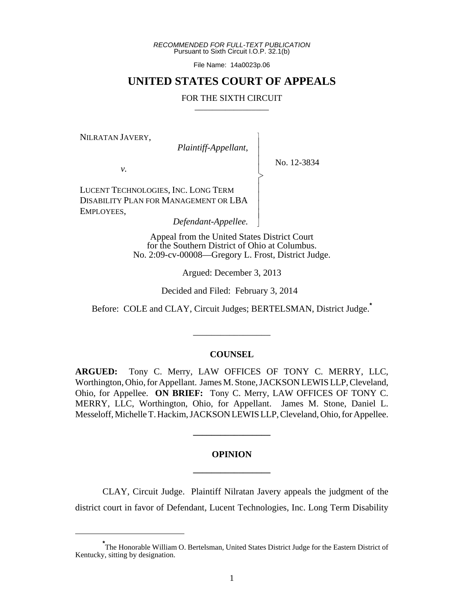*RECOMMENDED FOR FULL-TEXT PUBLICATION* Pursuant to Sixth Circuit I.O.P. 32.1(b)

File Name: 14a0023p.06

# **UNITED STATES COURT OF APPEALS**

#### FOR THE SIXTH CIRCUIT

 $\overline{\phantom{a}}$ - - - > , - - - - N

NILRATAN JAVERY,

*Plaintiff-Appellant*,

No. 12-3834

*v.*

LUCENT TECHNOLOGIES, INC. LONG TERM DISABILITY PLAN FOR MANAGEMENT OR LBA EMPLOYEES,

*Defendant-Appellee.*

Appeal from the United States District Court for the Southern District of Ohio at Columbus. No. 2:09-cv-00008—Gregory L. Frost, District Judge.

Argued: December 3, 2013

Decided and Filed: February 3, 2014

Before: COLE and CLAY, Circuit Judges; BERTELSMAN, District Judge.**\***

\_\_\_\_\_\_\_\_\_\_\_\_\_\_\_\_\_

### **COUNSEL**

**ARGUED:** Tony C. Merry, LAW OFFICES OF TONY C. MERRY, LLC, Worthington, Ohio, for Appellant. James M. Stone, JACKSON LEWIS LLP, Cleveland, Ohio, for Appellee. **ON BRIEF:** Tony C. Merry, LAW OFFICES OF TONY C. MERRY, LLC, Worthington, Ohio, for Appellant. James M. Stone, Daniel L. Messeloff, Michelle T. Hackim, JACKSON LEWIS LLP, Cleveland, Ohio, for Appellee.

# **OPINION \_\_\_\_\_\_\_\_\_\_\_\_\_\_\_\_\_**

**\_\_\_\_\_\_\_\_\_\_\_\_\_\_\_\_\_**

CLAY, Circuit Judge. Plaintiff Nilratan Javery appeals the judgment of the district court in favor of Defendant, Lucent Technologies, Inc. Long Term Disability

**<sup>\*</sup>** The Honorable William O. Bertelsman, United States District Judge for the Eastern District of Kentucky, sitting by designation.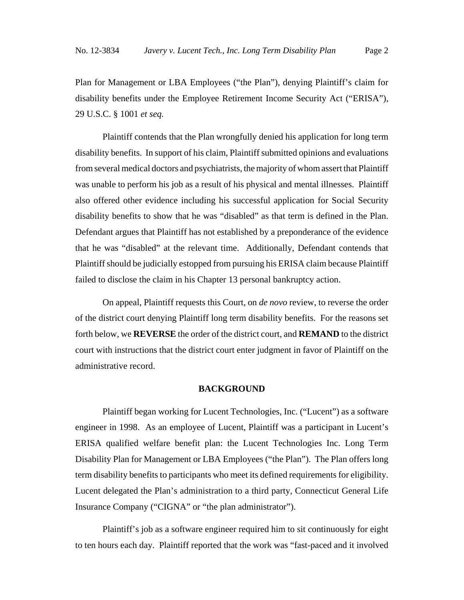Plan for Management or LBA Employees ("the Plan"), denying Plaintiff's claim for disability benefits under the Employee Retirement Income Security Act ("ERISA"), 29 U.S.C. § 1001 *et seq.*

Plaintiff contends that the Plan wrongfully denied his application for long term disability benefits. In support of his claim, Plaintiff submitted opinions and evaluations from several medical doctors and psychiatrists, the majority of whom assert that Plaintiff was unable to perform his job as a result of his physical and mental illnesses. Plaintiff also offered other evidence including his successful application for Social Security disability benefits to show that he was "disabled" as that term is defined in the Plan. Defendant argues that Plaintiff has not established by a preponderance of the evidence that he was "disabled" at the relevant time. Additionally, Defendant contends that Plaintiff should be judicially estopped from pursuing his ERISA claim because Plaintiff failed to disclose the claim in his Chapter 13 personal bankruptcy action.

On appeal, Plaintiff requests this Court, on *de novo* review, to reverse the order of the district court denying Plaintiff long term disability benefits. For the reasons set forth below, we **REVERSE** the order of the district court, and **REMAND** to the district court with instructions that the district court enter judgment in favor of Plaintiff on the administrative record.

#### **BACKGROUND**

Plaintiff began working for Lucent Technologies, Inc. ("Lucent") as a software engineer in 1998. As an employee of Lucent, Plaintiff was a participant in Lucent's ERISA qualified welfare benefit plan: the Lucent Technologies Inc. Long Term Disability Plan for Management or LBA Employees ("the Plan"). The Plan offers long term disability benefits to participants who meet its defined requirements for eligibility. Lucent delegated the Plan's administration to a third party, Connecticut General Life Insurance Company ("CIGNA" or "the plan administrator").

Plaintiff's job as a software engineer required him to sit continuously for eight to ten hours each day. Plaintiff reported that the work was "fast-paced and it involved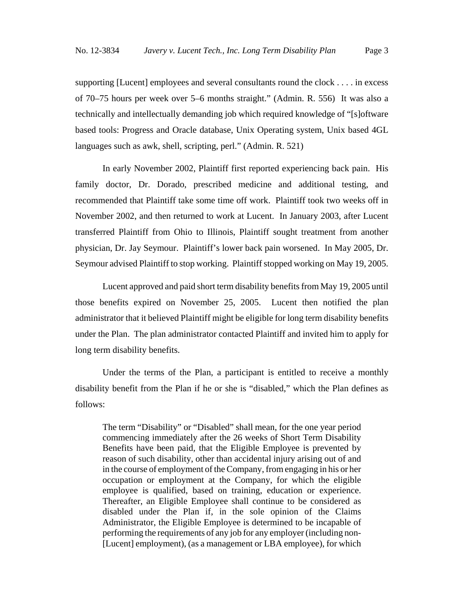supporting [Lucent] employees and several consultants round the clock . . . . in excess of 70–75 hours per week over 5–6 months straight." (Admin. R. 556) It was also a technically and intellectually demanding job which required knowledge of "[s]oftware based tools: Progress and Oracle database, Unix Operating system, Unix based 4GL languages such as awk, shell, scripting, perl." (Admin. R. 521)

In early November 2002, Plaintiff first reported experiencing back pain. His family doctor, Dr. Dorado, prescribed medicine and additional testing, and recommended that Plaintiff take some time off work. Plaintiff took two weeks off in November 2002, and then returned to work at Lucent. In January 2003, after Lucent transferred Plaintiff from Ohio to Illinois, Plaintiff sought treatment from another physician, Dr. Jay Seymour. Plaintiff's lower back pain worsened. In May 2005, Dr. Seymour advised Plaintiff to stop working. Plaintiff stopped working on May 19, 2005.

Lucent approved and paid short term disability benefits from May 19, 2005 until those benefits expired on November 25, 2005. Lucent then notified the plan administrator that it believed Plaintiff might be eligible for long term disability benefits under the Plan. The plan administrator contacted Plaintiff and invited him to apply for long term disability benefits.

Under the terms of the Plan, a participant is entitled to receive a monthly disability benefit from the Plan if he or she is "disabled," which the Plan defines as follows:

The term "Disability" or "Disabled" shall mean, for the one year period commencing immediately after the 26 weeks of Short Term Disability Benefits have been paid, that the Eligible Employee is prevented by reason of such disability, other than accidental injury arising out of and in the course of employment of the Company, from engaging in his or her occupation or employment at the Company, for which the eligible employee is qualified, based on training, education or experience. Thereafter, an Eligible Employee shall continue to be considered as disabled under the Plan if, in the sole opinion of the Claims Administrator, the Eligible Employee is determined to be incapable of performing the requirements of any job for any employer (including non- [Lucent] employment), (as a management or LBA employee), for which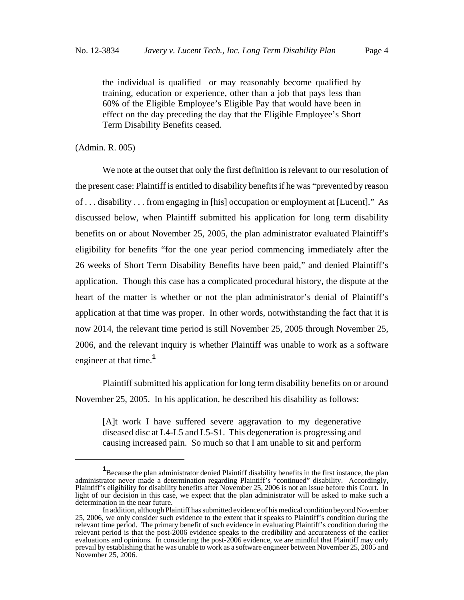the individual is qualified or may reasonably become qualified by training, education or experience, other than a job that pays less than 60% of the Eligible Employee's Eligible Pay that would have been in effect on the day preceding the day that the Eligible Employee's Short Term Disability Benefits ceased.

(Admin. R. 005)

We note at the outset that only the first definition is relevant to our resolution of the present case: Plaintiff is entitled to disability benefits if he was "prevented by reason of . . . disability . . . from engaging in [his] occupation or employment at [Lucent]." As discussed below, when Plaintiff submitted his application for long term disability benefits on or about November 25, 2005, the plan administrator evaluated Plaintiff's eligibility for benefits "for the one year period commencing immediately after the 26 weeks of Short Term Disability Benefits have been paid," and denied Plaintiff's application. Though this case has a complicated procedural history, the dispute at the heart of the matter is whether or not the plan administrator's denial of Plaintiff's application at that time was proper. In other words, notwithstanding the fact that it is now 2014, the relevant time period is still November 25, 2005 through November 25, 2006, and the relevant inquiry is whether Plaintiff was unable to work as a software engineer at that time.**<sup>1</sup>**

Plaintiff submitted his application for long term disability benefits on or around November 25, 2005. In his application, he described his disability as follows:

[A]t work I have suffered severe aggravation to my degenerative diseased disc at L4-L5 and L5-S1. This degeneration is progressing and causing increased pain. So much so that I am unable to sit and perform

<sup>&</sup>lt;sup>1</sup> Because the plan administrator denied Plaintiff disability benefits in the first instance, the plan administrator never made a determination regarding Plaintiff's "continued" disability. Accordingly, Plaintiff's eligibility for disability benefits after November 25, 2006 is not an issue before this Court. In light of our decision in this case, we expect that the plan administrator will be asked to make such a determination in the near future.

In addition, although Plaintiff has submitted evidence of his medical condition beyond November 25, 2006, we only consider such evidence to the extent that it speaks to Plaintiff's condition during the relevant time period. The primary benefit of such evidence in evaluating Plaintiff's condition during the relevant period is that the post-2006 evidence speaks to the credibility and accurateness of the earlier evaluations and opinions. In considering the post-2006 evidence, we are mindful that Plaintiff may only prevail by establishing that he was unable to work as a software engineer between November 25, 2005 and November 25, 2006.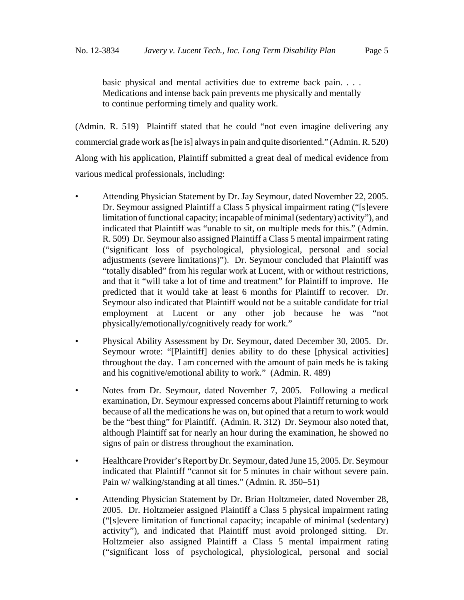basic physical and mental activities due to extreme back pain. . . . Medications and intense back pain prevents me physically and mentally to continue performing timely and quality work.

(Admin. R. 519) Plaintiff stated that he could "not even imagine delivering any commercial grade work as [he is] always in pain and quite disoriented." (Admin. R. 520) Along with his application, Plaintiff submitted a great deal of medical evidence from various medical professionals, including:

- Attending Physician Statement by Dr. Jay Seymour, dated November 22, 2005. Dr. Seymour assigned Plaintiff a Class 5 physical impairment rating ("[s]evere limitation of functional capacity; incapable of minimal (sedentary) activity"), and indicated that Plaintiff was "unable to sit, on multiple meds for this." (Admin. R. 509) Dr. Seymour also assigned Plaintiff a Class 5 mental impairment rating ("significant loss of psychological, physiological, personal and social adjustments (severe limitations)"). Dr. Seymour concluded that Plaintiff was "totally disabled" from his regular work at Lucent, with or without restrictions, and that it "will take a lot of time and treatment" for Plaintiff to improve. He predicted that it would take at least 6 months for Plaintiff to recover. Dr. Seymour also indicated that Plaintiff would not be a suitable candidate for trial employment at Lucent or any other job because he was "not physically/emotionally/cognitively ready for work."
- Physical Ability Assessment by Dr. Seymour, dated December 30, 2005. Dr. Seymour wrote: "[Plaintiff] denies ability to do these [physical activities] throughout the day. I am concerned with the amount of pain meds he is taking and his cognitive/emotional ability to work." (Admin. R. 489)
- Notes from Dr. Seymour, dated November 7, 2005. Following a medical examination, Dr. Seymour expressed concerns about Plaintiff returning to work because of all the medications he was on, but opined that a return to work would be the "best thing" for Plaintiff. (Admin. R. 312) Dr. Seymour also noted that, although Plaintiff sat for nearly an hour during the examination, he showed no signs of pain or distress throughout the examination.
- Healthcare Provider's Report by Dr. Seymour, dated June 15, 2005*.* Dr. Seymour indicated that Plaintiff "cannot sit for 5 minutes in chair without severe pain. Pain w/ walking/standing at all times." (Admin. R. 350–51)
- Attending Physician Statement by Dr. Brian Holtzmeier, dated November 28, 2005. Dr. Holtzmeier assigned Plaintiff a Class 5 physical impairment rating ("[s]evere limitation of functional capacity; incapable of minimal (sedentary) activity"), and indicated that Plaintiff must avoid prolonged sitting. Dr. Holtzmeier also assigned Plaintiff a Class 5 mental impairment rating ("significant loss of psychological, physiological, personal and social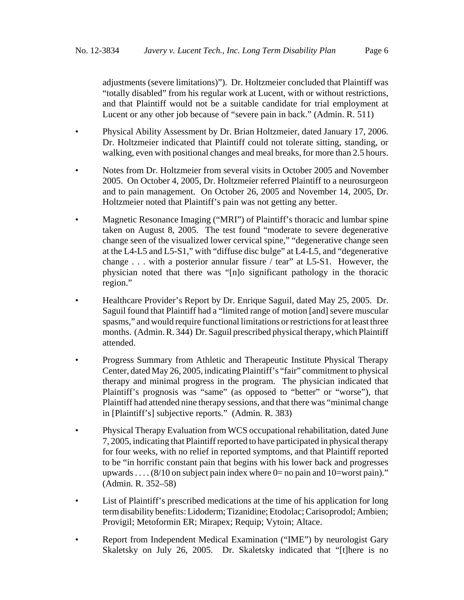adjustments (severe limitations)"). Dr. Holtzmeier concluded that Plaintiff was "totally disabled" from his regular work at Lucent, with or without restrictions, and that Plaintiff would not be a suitable candidate for trial employment at Lucent or any other job because of "severe pain in back." (Admin. R. 511)

- Physical Ability Assessment by Dr. Brian Holtzmeier, dated January 17, 2006. Dr. Holtzmeier indicated that Plaintiff could not tolerate sitting, standing, or walking, even with positional changes and meal breaks, for more than 2.5 hours.
- Notes from Dr. Holtzmeier from several visits in October 2005 and November 2005. On October 4, 2005, Dr. Holtzmeier referred Plaintiff to a neurosurgeon and to pain management. On October 26, 2005 and November 14, 2005, Dr. Holtzmeier noted that Plaintiff's pain was not getting any better.
- Magnetic Resonance Imaging ("MRI") of Plaintiff's thoracic and lumbar spine taken on August 8, 2005. The test found "moderate to severe degenerative change seen of the visualized lower cervical spine," "degenerative change seen at the L4-L5 and L5-S1," with "diffuse disc bulge" at L4-L5, and "degenerative change . . . with a posterior annular fissure / tear" at L5-S1. However, the physician noted that there was "[n]o significant pathology in the thoracic region."
- Healthcare Provider's Report by Dr. Enrique Saguil, dated May 25, 2005. Dr. Saguil found that Plaintiff had a "limited range of motion [and] severe muscular spasms," and would require functional limitations or restrictions for at least three months. (Admin. R. 344) Dr. Saguil prescribed physical therapy, which Plaintiff attended.
- Progress Summary from Athletic and Therapeutic Institute Physical Therapy Center, dated May 26, 2005, indicating Plaintiff's "fair" commitment to physical therapy and minimal progress in the program. The physician indicated that Plaintiff's prognosis was "same" (as opposed to "better" or "worse"), that Plaintiff had attended nine therapy sessions, and that there was "minimal change in [Plaintiff's] subjective reports." (Admin. R. 383)
- Physical Therapy Evaluation from WCS occupational rehabilitation, dated June 7, 2005, indicating that Plaintiff reported to have participated in physical therapy for four weeks, with no relief in reported symptoms, and that Plaintiff reported to be "in horrific constant pain that begins with his lower back and progresses upwards . . . .  $(8/10 \text{ on subject pain index where } 0 = \text{no pain and } 10 = \text{worst pain})$ ." (Admin. R. 352–58)
- List of Plaintiff's prescribed medications at the time of his application for long term disability benefits: Lidoderm; Tizanidine; Etodolac; Carisoprodol; Ambien; Provigil; Metoformin ER; Mirapex; Requip; Vytoin; Altace.
- Report from Independent Medical Examination ("IME") by neurologist Gary Skaletsky on July 26, 2005. Dr. Skaletsky indicated that "[t]here is no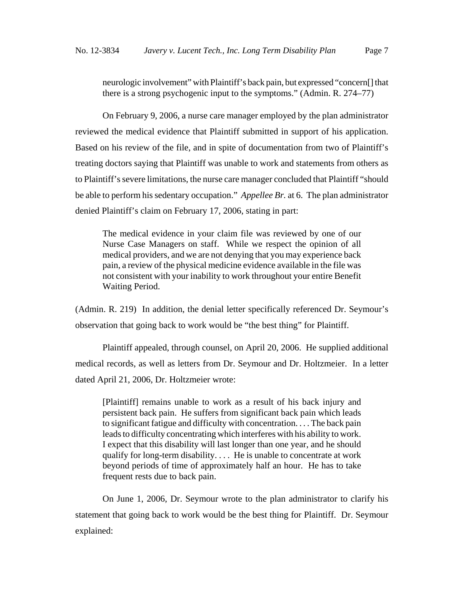neurologic involvement" with Plaintiff's back pain, but expressed "concern[] that there is a strong psychogenic input to the symptoms." (Admin. R. 274–77)

On February 9, 2006, a nurse care manager employed by the plan administrator reviewed the medical evidence that Plaintiff submitted in support of his application. Based on his review of the file, and in spite of documentation from two of Plaintiff's treating doctors saying that Plaintiff was unable to work and statements from others as to Plaintiff's severe limitations, the nurse care manager concluded that Plaintiff "should be able to perform his sedentary occupation." *Appellee Br.* at 6. The plan administrator denied Plaintiff's claim on February 17, 2006, stating in part:

The medical evidence in your claim file was reviewed by one of our Nurse Case Managers on staff. While we respect the opinion of all medical providers, and we are not denying that you may experience back pain, a review of the physical medicine evidence available in the file was not consistent with your inability to work throughout your entire Benefit Waiting Period.

(Admin. R. 219) In addition, the denial letter specifically referenced Dr. Seymour's observation that going back to work would be "the best thing" for Plaintiff.

Plaintiff appealed, through counsel, on April 20, 2006. He supplied additional medical records, as well as letters from Dr. Seymour and Dr. Holtzmeier. In a letter dated April 21, 2006, Dr. Holtzmeier wrote:

[Plaintiff] remains unable to work as a result of his back injury and persistent back pain. He suffers from significant back pain which leads to significant fatigue and difficulty with concentration. . . . The back pain leads to difficulty concentrating which interferes with his ability to work. I expect that this disability will last longer than one year, and he should qualify for long-term disability. . . . He is unable to concentrate at work beyond periods of time of approximately half an hour. He has to take frequent rests due to back pain.

On June 1, 2006, Dr. Seymour wrote to the plan administrator to clarify his statement that going back to work would be the best thing for Plaintiff. Dr. Seymour explained: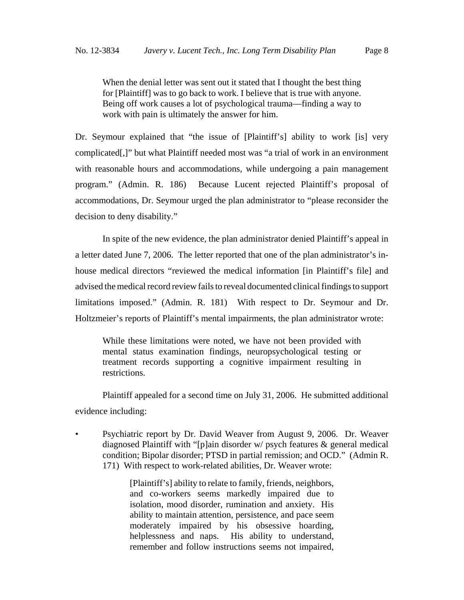When the denial letter was sent out it stated that I thought the best thing for [Plaintiff] was to go back to work. I believe that is true with anyone. Being off work causes a lot of psychological trauma––finding a way to work with pain is ultimately the answer for him.

Dr. Seymour explained that "the issue of [Plaintiff's] ability to work [is] very complicated[,]" but what Plaintiff needed most was "a trial of work in an environment with reasonable hours and accommodations, while undergoing a pain management program." (Admin. R. 186) Because Lucent rejected Plaintiff's proposal of accommodations, Dr. Seymour urged the plan administrator to "please reconsider the decision to deny disability."

In spite of the new evidence, the plan administrator denied Plaintiff's appeal in a letter dated June 7, 2006. The letter reported that one of the plan administrator's inhouse medical directors "reviewed the medical information [in Plaintiff's file] and advised the medical record review fails to reveal documented clinical findings to support limitations imposed." (Admin. R. 181) With respect to Dr. Seymour and Dr. Holtzmeier's reports of Plaintiff's mental impairments, the plan administrator wrote:

While these limitations were noted, we have not been provided with mental status examination findings, neuropsychological testing or treatment records supporting a cognitive impairment resulting in restrictions.

Plaintiff appealed for a second time on July 31, 2006. He submitted additional evidence including:

• Psychiatric report by Dr. David Weaver from August 9, 2006. Dr. Weaver diagnosed Plaintiff with "[p]ain disorder w/ psych features & general medical condition; Bipolar disorder; PTSD in partial remission; and OCD." (Admin R. 171) With respect to work-related abilities, Dr. Weaver wrote:

> [Plaintiff's] ability to relate to family, friends, neighbors, and co-workers seems markedly impaired due to isolation, mood disorder, rumination and anxiety. His ability to maintain attention, persistence, and pace seem moderately impaired by his obsessive hoarding, helplessness and naps. His ability to understand, remember and follow instructions seems not impaired,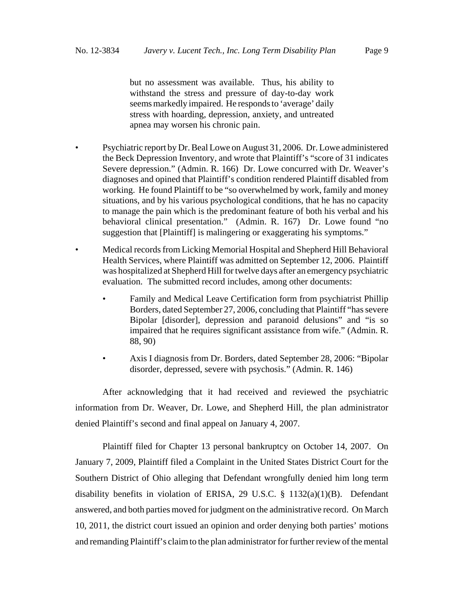but no assessment was available. Thus, his ability to withstand the stress and pressure of day-to-day work seems markedly impaired. He responds to 'average' daily stress with hoarding, depression, anxiety, and untreated apnea may worsen his chronic pain.

- Psychiatric report by Dr. Beal Lowe on August 31, 2006. Dr. Lowe administered the Beck Depression Inventory, and wrote that Plaintiff's "score of 31 indicates Severe depression." (Admin. R. 166) Dr. Lowe concurred with Dr. Weaver's diagnoses and opined that Plaintiff's condition rendered Plaintiff disabled from working. He found Plaintiff to be "so overwhelmed by work, family and money situations, and by his various psychological conditions, that he has no capacity to manage the pain which is the predominant feature of both his verbal and his behavioral clinical presentation." (Admin. R. 167) Dr. Lowe found "no suggestion that [Plaintiff] is malingering or exaggerating his symptoms."
- Medical records from Licking Memorial Hospital and Shepherd Hill Behavioral Health Services, where Plaintiff was admitted on September 12, 2006. Plaintiff was hospitalized at Shepherd Hill for twelve days after an emergency psychiatric evaluation. The submitted record includes, among other documents:
	- Family and Medical Leave Certification form from psychiatrist Phillip Borders, dated September 27, 2006, concluding that Plaintiff "has severe Bipolar [disorder], depression and paranoid delusions" and "is so impaired that he requires significant assistance from wife." (Admin. R. 88, 90)
	- Axis I diagnosis from Dr. Borders, dated September 28, 2006: "Bipolar disorder, depressed, severe with psychosis." (Admin. R. 146)

After acknowledging that it had received and reviewed the psychiatric information from Dr. Weaver, Dr. Lowe, and Shepherd Hill, the plan administrator denied Plaintiff's second and final appeal on January 4, 2007.

Plaintiff filed for Chapter 13 personal bankruptcy on October 14, 2007. On January 7, 2009, Plaintiff filed a Complaint in the United States District Court for the Southern District of Ohio alleging that Defendant wrongfully denied him long term disability benefits in violation of ERISA, 29 U.S.C. § 1132(a)(1)(B). Defendant answered, and both parties moved for judgment on the administrative record. On March 10, 2011, the district court issued an opinion and order denying both parties' motions and remanding Plaintiff's claim to the plan administrator for further review of the mental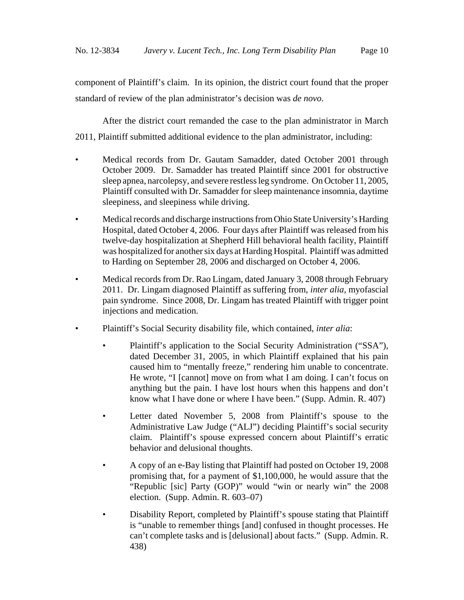component of Plaintiff's claim. In its opinion, the district court found that the proper standard of review of the plan administrator's decision was *de novo*.

After the district court remanded the case to the plan administrator in March 2011, Plaintiff submitted additional evidence to the plan administrator, including:

- Medical records from Dr. Gautam Samadder, dated October 2001 through October 2009. Dr. Samadder has treated Plaintiff since 2001 for obstructive sleep apnea, narcolepsy, and severe restless leg syndrome. On October 11, 2005, Plaintiff consulted with Dr. Samadder for sleep maintenance insomnia, daytime sleepiness, and sleepiness while driving.
- Medical records and discharge instructions from Ohio State University's Harding Hospital, dated October 4, 2006. Four days after Plaintiff was released from his twelve-day hospitalization at Shepherd Hill behavioral health facility, Plaintiff was hospitalized for another six days at Harding Hospital. Plaintiff was admitted to Harding on September 28, 2006 and discharged on October 4, 2006.
- Medical records from Dr. Rao Lingam, dated January 3, 2008 through February 2011. Dr. Lingam diagnosed Plaintiff as suffering from, *inter alia*, myofascial pain syndrome. Since 2008, Dr. Lingam has treated Plaintiff with trigger point injections and medication.
- Plaintiff's Social Security disability file, which contained, *inter alia*:
	- Plaintiff's application to the Social Security Administration ("SSA"), dated December 31, 2005, in which Plaintiff explained that his pain caused him to "mentally freeze," rendering him unable to concentrate. He wrote, "I [cannot] move on from what I am doing. I can't focus on anything but the pain. I have lost hours when this happens and don't know what I have done or where I have been." (Supp. Admin. R. 407)
	- Letter dated November 5, 2008 from Plaintiff's spouse to the Administrative Law Judge ("ALJ") deciding Plaintiff's social security claim. Plaintiff's spouse expressed concern about Plaintiff's erratic behavior and delusional thoughts.
	- A copy of an e-Bay listing that Plaintiff had posted on October 19, 2008 promising that, for a payment of \$1,100,000, he would assure that the "Republic [sic] Party (GOP)" would "win or nearly win" the 2008 election.(Supp. Admin. R. 603–07)
	- Disability Report, completed by Plaintiff's spouse stating that Plaintiff is "unable to remember things [and] confused in thought processes. He can't complete tasks and is [delusional] about facts." (Supp. Admin. R. 438)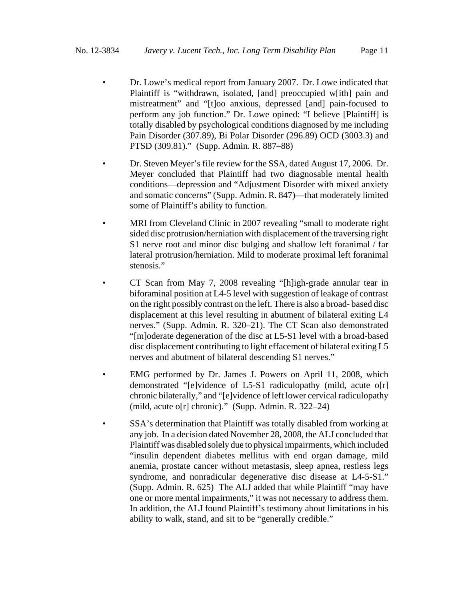- Dr. Lowe's medical report from January 2007. Dr. Lowe indicated that Plaintiff is "withdrawn, isolated, [and] preoccupied w[ith] pain and mistreatment" and "[t]oo anxious, depressed [and] pain-focused to perform any job function." Dr. Lowe opined: "I believe [Plaintiff] is totally disabled by psychological conditions diagnosed by me including Pain Disorder (307.89), Bi Polar Disorder (296.89) OCD (3003.3) and PTSD (309.81)." (Supp. Admin. R. 887–88)
- Dr. Steven Meyer's file review for the SSA, dated August 17, 2006. Dr. Meyer concluded that Plaintiff had two diagnosable mental health conditions––depression and "Adjustment Disorder with mixed anxiety and somatic concerns" (Supp. Admin. R. 847)––that moderately limited some of Plaintiff's ability to function.
- MRI from Cleveland Clinic in 2007 revealing "small to moderate right sided disc protrusion/herniation with displacement of the traversing right S1 nerve root and minor disc bulging and shallow left foranimal / far lateral protrusion/herniation. Mild to moderate proximal left foranimal stenosis."
- CT Scan from May 7, 2008 revealing "[h]igh-grade annular tear in biforaminal position at L4-5 level with suggestion of leakage of contrast on the right possibly contrast on the left. There is also a broad- based disc displacement at this level resulting in abutment of bilateral exiting L4 nerves." (Supp. Admin. R. 320–21). The CT Scan also demonstrated "[m]oderate degeneration of the disc at L5-S1 level with a broad-based disc displacement contributing to light effacement of bilateral exiting L5 nerves and abutment of bilateral descending S1 nerves."
- EMG performed by Dr. James J. Powers on April 11, 2008, which demonstrated "[e]vidence of L5-S1 radiculopathy (mild, acute o[r] chronic bilaterally," and "[e]vidence of left lower cervical radiculopathy (mild, acute o[r] chronic)." (Supp. Admin. R. 322–24)
- SSA's determination that Plaintiff was totally disabled from working at any job. In a decision dated November 28, 2008, the ALJ concluded that Plaintiff was disabled solely due to physical impairments, which included "insulin dependent diabetes mellitus with end organ damage, mild anemia, prostate cancer without metastasis, sleep apnea, restless legs syndrome, and nonradicular degenerative disc disease at L4-5-S1." (Supp. Admin. R. 625) The ALJ added that while Plaintiff "may have one or more mental impairments," it was not necessary to address them. In addition, the ALJ found Plaintiff's testimony about limitations in his ability to walk, stand, and sit to be "generally credible."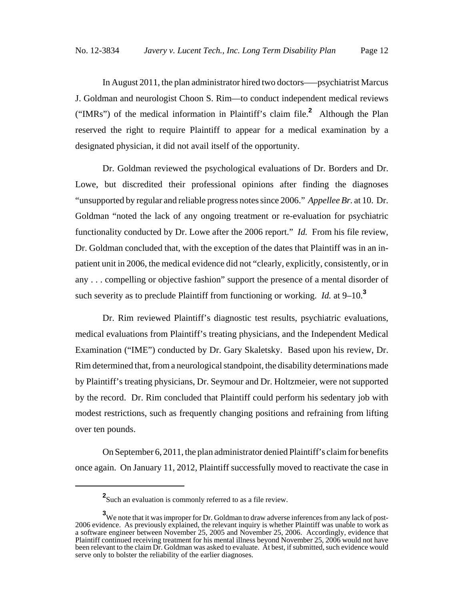In August 2011, the plan administrator hired two doctors–––psychiatrist Marcus J. Goldman and neurologist Choon S. Rim––to conduct independent medical reviews ("IMRs") of the medical information in Plaintiff's claim file.**<sup>2</sup>** Although the Plan reserved the right to require Plaintiff to appear for a medical examination by a designated physician, it did not avail itself of the opportunity.

Dr. Goldman reviewed the psychological evaluations of Dr. Borders and Dr. Lowe, but discredited their professional opinions after finding the diagnoses "unsupported by regular and reliable progress notes since 2006." *Appellee Br.* at 10. Dr. Goldman "noted the lack of any ongoing treatment or re-evaluation for psychiatric functionality conducted by Dr. Lowe after the 2006 report." *Id.* From his file review, Dr. Goldman concluded that, with the exception of the dates that Plaintiff was in an inpatient unit in 2006, the medical evidence did not "clearly, explicitly, consistently, or in any . . . compelling or objective fashion" support the presence of a mental disorder of such severity as to preclude Plaintiff from functioning or working. *Id.* at 9–10.**<sup>3</sup>**

Dr. Rim reviewed Plaintiff's diagnostic test results, psychiatric evaluations, medical evaluations from Plaintiff's treating physicians, and the Independent Medical Examination ("IME") conducted by Dr. Gary Skaletsky. Based upon his review, Dr. Rim determined that, from a neurological standpoint, the disability determinations made by Plaintiff's treating physicians, Dr. Seymour and Dr. Holtzmeier, were not supported by the record. Dr. Rim concluded that Plaintiff could perform his sedentary job with modest restrictions, such as frequently changing positions and refraining from lifting over ten pounds.

On September 6, 2011, the plan administrator denied Plaintiff's claim for benefits once again. On January 11, 2012, Plaintiff successfully moved to reactivate the case in

**<sup>2</sup>** Such an evaluation is commonly referred to as a file review.

**<sup>3</sup>** We note that it was improper for Dr. Goldman to draw adverse inferences from any lack of post-2006 evidence. As previously explained, the relevant inquiry is whether Plaintiff was unable to work as a software engineer between November 25, 2005 and November 25, 2006. Accordingly, evidence that Plaintiff continued receiving treatment for his mental illness beyond November 25, 2006 would not have been relevant to the claim Dr. Goldman was asked to evaluate. At best, if submitted, such evidence would serve only to bolster the reliability of the earlier diagnoses.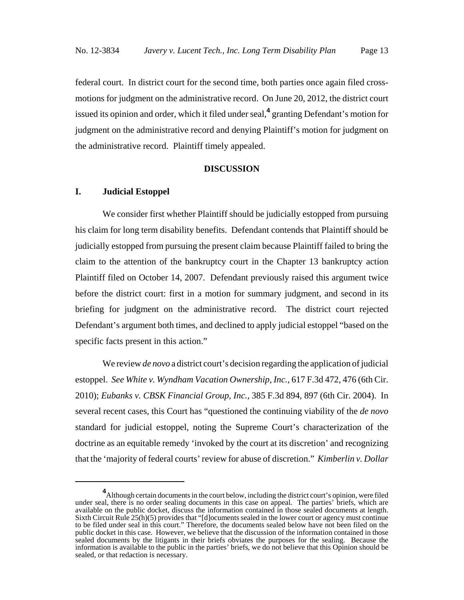federal court. In district court for the second time, both parties once again filed crossmotions for judgment on the administrative record. On June 20, 2012, the district court issued its opinion and order, which it filed under seal,**<sup>4</sup>** granting Defendant's motion for judgment on the administrative record and denying Plaintiff's motion for judgment on the administrative record. Plaintiff timely appealed.

# **DISCUSSION**

### **I. Judicial Estoppel**

We consider first whether Plaintiff should be judicially estopped from pursuing his claim for long term disability benefits. Defendant contends that Plaintiff should be judicially estopped from pursuing the present claim because Plaintiff failed to bring the claim to the attention of the bankruptcy court in the Chapter 13 bankruptcy action Plaintiff filed on October 14, 2007. Defendant previously raised this argument twice before the district court: first in a motion for summary judgment, and second in its briefing for judgment on the administrative record. The district court rejected Defendant's argument both times, and declined to apply judicial estoppel "based on the specific facts present in this action."

We review *de novo* a district court's decision regarding the application of judicial estoppel. *See White v. Wyndham Vacation Ownership, Inc.,* 617 F.3d 472, 476 (6th Cir. 2010); *Eubanks v. CBSK Financial Group, Inc.,* 385 F.3d 894, 897 (6th Cir. 2004). In several recent cases, this Court has "questioned the continuing viability of the *de novo* standard for judicial estoppel, noting the Supreme Court's characterization of the doctrine as an equitable remedy 'invoked by the court at its discretion' and recognizing that the 'majority of federal courts' review for abuse of discretion." *Kimberlin v. Dollar*

**<sup>4</sup>** Although certain documents in the court below, including the district court's opinion, were filed under seal, there is no order sealing documents in this case on appeal. The parties' briefs, which are available on the public docket, discuss the information contained in those sealed documents at length. Sixth Circuit Rule 25(h)(5) provides that "[d]ocuments sealed in the lower court or agency must continue to be filed under seal in this court." Therefore, the documents sealed below have not been filed on the public docket in this case. However, we believe that the discussion of the information contained in those sealed documents by the litigants in their briefs obviates the purposes for the sealing. Because the information is available to the public in the parties' briefs, we do not believe that this Opinion should be sealed, or that redaction is necessary.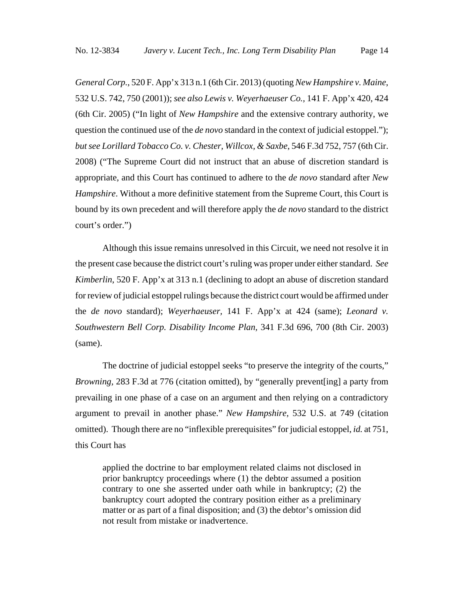*General Corp.*, 520 F. App'x 313 n.1 (6th Cir. 2013) (quoting *New Hampshire v. Maine*, 532 U.S. 742, 750 (2001)); *see also Lewis v. Weyerhaeuser Co.,* 141 F. App'x 420, 424 (6th Cir. 2005) ("In light of *New Hampshire* and the extensive contrary authority, we question the continued use of the *de novo* standard in the context of judicial estoppel."); *but see Lorillard Tobacco Co. v. Chester, Willcox, & Saxbe*, 546 F.3d 752, 757 (6th Cir. 2008) ("The Supreme Court did not instruct that an abuse of discretion standard is appropriate, and this Court has continued to adhere to the *de novo* standard after *New Hampshire*. Without a more definitive statement from the Supreme Court, this Court is bound by its own precedent and will therefore apply the *de novo* standard to the district court's order.")

Although this issue remains unresolved in this Circuit, we need not resolve it in the present case because the district court's ruling was proper under either standard. *See Kimberlin*, 520 F. App'x at 313 n.1 (declining to adopt an abuse of discretion standard for review of judicial estoppel rulings because the district court would be affirmed under the *de novo* standard); *Weyerhaeuser,* 141 F. App'x at 424 (same); *Leonard v. Southwestern Bell Corp. Disability Income Plan,* 341 F.3d 696, 700 (8th Cir. 2003) (same).

The doctrine of judicial estoppel seeks "to preserve the integrity of the courts," *Browning,* 283 F.3d at 776 (citation omitted), by "generally prevent[ing] a party from prevailing in one phase of a case on an argument and then relying on a contradictory argument to prevail in another phase." *New Hampshire,* 532 U.S. at 749 (citation omitted). Though there are no "inflexible prerequisites" for judicial estoppel, *id.* at 751, this Court has

applied the doctrine to bar employment related claims not disclosed in prior bankruptcy proceedings where (1) the debtor assumed a position contrary to one she asserted under oath while in bankruptcy; (2) the bankruptcy court adopted the contrary position either as a preliminary matter or as part of a final disposition; and (3) the debtor's omission did not result from mistake or inadvertence.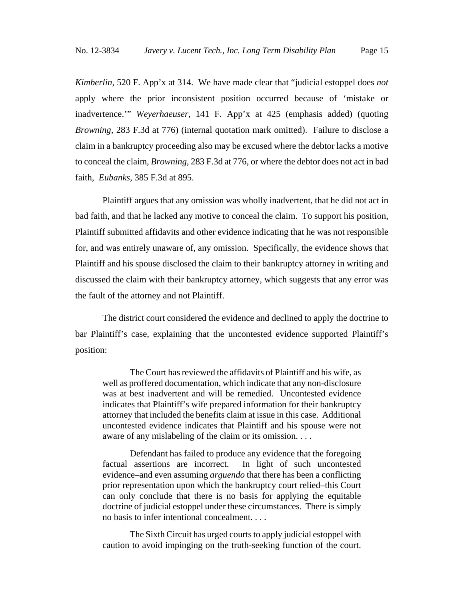*Kimberlin*, 520 F. App'x at 314. We have made clear that "judicial estoppel does *not* apply where the prior inconsistent position occurred because of 'mistake or inadvertence.'" *Weyerhaeuser*, 141 F. App'x at 425 (emphasis added) (quoting *Browning*, 283 F.3d at 776) (internal quotation mark omitted). Failure to disclose a claim in a bankruptcy proceeding also may be excused where the debtor lacks a motive to conceal the claim, *Browning*, 283 F.3d at 776, or where the debtor does not act in bad faith, *Eubanks,* 385 F.3d at 895.

Plaintiff argues that any omission was wholly inadvertent, that he did not act in bad faith, and that he lacked any motive to conceal the claim. To support his position, Plaintiff submitted affidavits and other evidence indicating that he was not responsible for, and was entirely unaware of, any omission. Specifically, the evidence shows that Plaintiff and his spouse disclosed the claim to their bankruptcy attorney in writing and discussed the claim with their bankruptcy attorney, which suggests that any error was the fault of the attorney and not Plaintiff.

The district court considered the evidence and declined to apply the doctrine to bar Plaintiff's case, explaining that the uncontested evidence supported Plaintiff's position:

The Court has reviewed the affidavits of Plaintiff and his wife, as well as proffered documentation, which indicate that any non-disclosure was at best inadvertent and will be remedied. Uncontested evidence indicates that Plaintiff's wife prepared information for their bankruptcy attorney that included the benefits claim at issue in this case. Additional uncontested evidence indicates that Plaintiff and his spouse were not aware of any mislabeling of the claim or its omission. . . .

Defendant has failed to produce any evidence that the foregoing factual assertions are incorrect. In light of such uncontested evidence–and even assuming *arguendo* that there has been a conflicting prior representation upon which the bankruptcy court relied–this Court can only conclude that there is no basis for applying the equitable doctrine of judicial estoppel under these circumstances. There is simply no basis to infer intentional concealment. . . .

The Sixth Circuit has urged courts to apply judicial estoppel with caution to avoid impinging on the truth-seeking function of the court.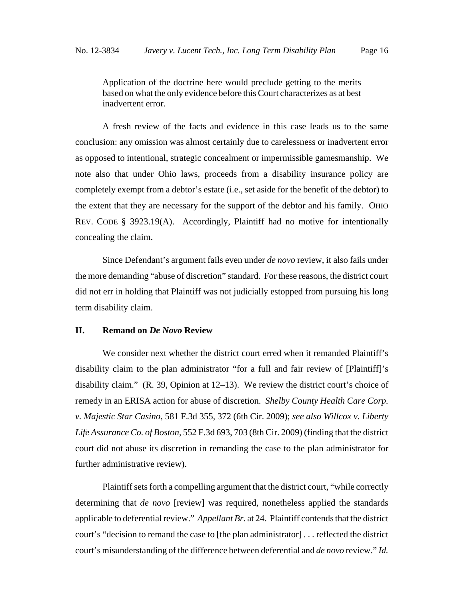Application of the doctrine here would preclude getting to the merits based on what the only evidence before this Court characterizes as at best inadvertent error.

A fresh review of the facts and evidence in this case leads us to the same conclusion: any omission was almost certainly due to carelessness or inadvertent error as opposed to intentional, strategic concealment or impermissible gamesmanship. We note also that under Ohio laws, proceeds from a disability insurance policy are completely exempt from a debtor's estate (i.e., set aside for the benefit of the debtor) to the extent that they are necessary for the support of the debtor and his family. OHIO REV. CODE § 3923.19(A). Accordingly, Plaintiff had no motive for intentionally concealing the claim.

Since Defendant's argument fails even under *de novo* review, it also fails under the more demanding "abuse of discretion" standard. For these reasons, the district court did not err in holding that Plaintiff was not judicially estopped from pursuing his long term disability claim.

# **II. Remand on** *De Novo* **Review**

We consider next whether the district court erred when it remanded Plaintiff's disability claim to the plan administrator "for a full and fair review of [Plaintiff]'s disability claim." (R. 39, Opinion at 12–13). We review the district court's choice of remedy in an ERISA action for abuse of discretion. *Shelby County Health Care Corp. v. Majestic Star Casino*, 581 F.3d 355, 372 (6th Cir. 2009); *see also Willcox v. Liberty Life Assurance Co. of Boston*, 552 F.3d 693, 703 (8th Cir. 2009) (finding that the district court did not abuse its discretion in remanding the case to the plan administrator for further administrative review).

Plaintiff sets forth a compelling argument that the district court, "while correctly determining that *de novo* [review] was required, nonetheless applied the standards applicable to deferential review." *Appellant Br.* at 24. Plaintiff contends that the district court's "decision to remand the case to [the plan administrator] . . . reflected the district court's misunderstanding of the difference between deferential and *de novo* review." *Id.*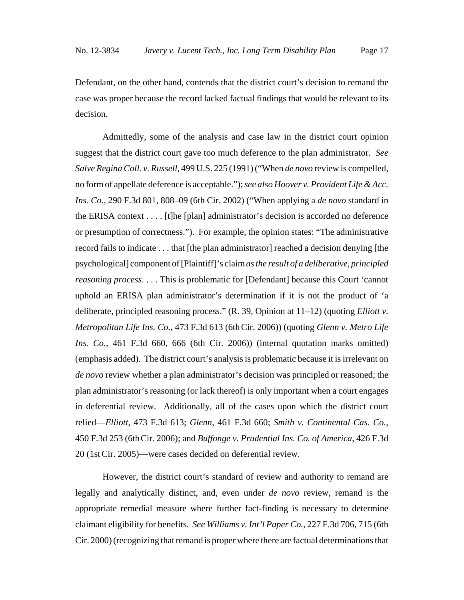Defendant, on the other hand, contends that the district court's decision to remand the case was proper because the record lacked factual findings that would be relevant to its decision.

Admittedly, some of the analysis and case law in the district court opinion suggest that the district court gave too much deference to the plan administrator. *See Salve Regina Coll. v. Russell,* 499 U.S. 225 (1991) ("When *de novo* review is compelled, no form of appellate deference is acceptable."); *see also Hoover v. Provident Life & Acc. Ins. Co.*, 290 F.3d 801, 808–09 (6th Cir. 2002) ("When applying a *de novo* standard in the ERISA context . . . . [t]he [plan] administrator's decision is accorded no deference or presumption of correctness."). For example, the opinion states: "The administrative record fails to indicate . . . that [the plan administrator] reached a decision denying [the psychological] component of [Plaintiff]'s claim *as the result of a deliberative, principled reasoning process.* . . . This is problematic for [Defendant] because this Court 'cannot uphold an ERISA plan administrator's determination if it is not the product of 'a deliberate, principled reasoning process." (R. 39, Opinion at 11–12) (quoting *Elliott v. Metropolitan Life Ins. Co.*, 473 F.3d 613 (6thCir. 2006)) (quoting *Glenn v. Metro Life Ins. Co.,* 461 F.3d 660, 666 (6th Cir. 2006)) (internal quotation marks omitted) (emphasis added). The district court's analysis is problematic because it is irrelevant on *de novo* review whether a plan administrator's decision was principled or reasoned; the plan administrator's reasoning (or lack thereof) is only important when a court engages in deferential review. Additionally, all of the cases upon which the district court relied—*Elliott*, 473 F.3d 613; *Glenn,* 461 F.3d 660; *Smith v. Continental Cas. Co.*, 450 F.3d 253 (6thCir. 2006); and *Buffonge v. Prudential Ins. Co. of America*, 426 F.3d 20 (1stCir. 2005)—were cases decided on deferential review.

However, the district court's standard of review and authority to remand are legally and analytically distinct, and, even under *de novo* review, remand is the appropriate remedial measure where further fact-finding is necessary to determine claimant eligibility for benefits. *See Williams v. Int'l Paper Co.*, 227 F.3d 706, 715 (6th Cir. 2000) (recognizing that remand is proper where there are factual determinations that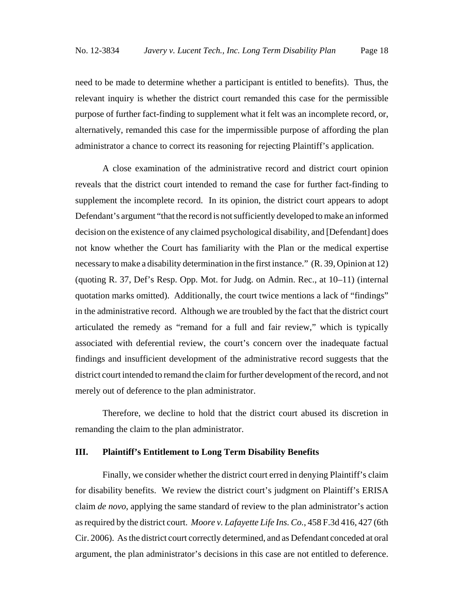need to be made to determine whether a participant is entitled to benefits).Thus, the relevant inquiry is whether the district court remanded this case for the permissible purpose of further fact-finding to supplement what it felt was an incomplete record, or, alternatively, remanded this case for the impermissible purpose of affording the plan administrator a chance to correct its reasoning for rejecting Plaintiff's application.

A close examination of the administrative record and district court opinion reveals that the district court intended to remand the case for further fact-finding to supplement the incomplete record. In its opinion, the district court appears to adopt Defendant's argument "that the record is not sufficiently developed to make an informed decision on the existence of any claimed psychological disability, and [Defendant] does not know whether the Court has familiarity with the Plan or the medical expertise necessary to make a disability determination in the first instance." (R. 39, Opinion at 12) (quoting R. 37, Def's Resp. Opp. Mot. for Judg. on Admin. Rec., at 10–11) (internal quotation marks omitted). Additionally, the court twice mentions a lack of "findings" in the administrative record. Although we are troubled by the fact that the district court articulated the remedy as "remand for a full and fair review," which is typically associated with deferential review, the court's concern over the inadequate factual findings and insufficient development of the administrative record suggests that the district court intended to remand the claim for further development of the record, and not merely out of deference to the plan administrator.

Therefore, we decline to hold that the district court abused its discretion in remanding the claim to the plan administrator.

# **III. Plaintiff's Entitlement to Long Term Disability Benefits**

Finally, we consider whether the district court erred in denying Plaintiff's claim for disability benefits. We review the district court's judgment on Plaintiff's ERISA claim *de novo*, applying the same standard of review to the plan administrator's action as required by the district court. *Moore v. Lafayette Life Ins. Co.*, 458 F.3d 416, 427 (6th Cir. 2006). As the district court correctly determined, and as Defendant conceded at oral argument, the plan administrator's decisions in this case are not entitled to deference.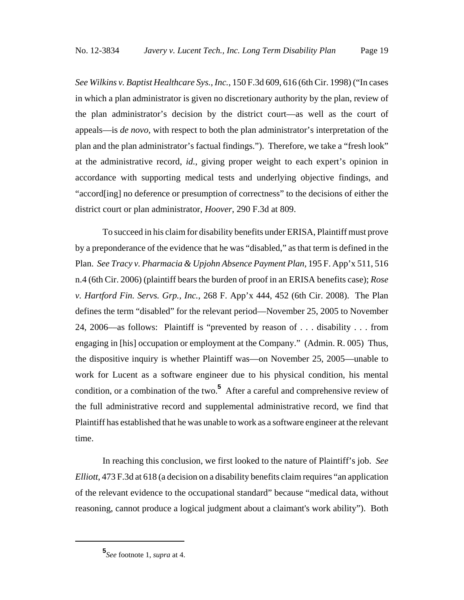*See Wilkins v. Baptist Healthcare Sys., Inc.*, 150 F.3d 609, 616 (6th Cir. 1998) ("In cases in which a plan administrator is given no discretionary authority by the plan, review of the plan administrator's decision by the district court—as well as the court of appeals—is *de novo,* with respect to both the plan administrator's interpretation of the plan and the plan administrator's factual findings."). Therefore, we take a "fresh look" at the administrative record, *id.*, giving proper weight to each expert's opinion in accordance with supporting medical tests and underlying objective findings, and "accord[ing] no deference or presumption of correctness" to the decisions of either the district court or plan administrator, *Hoover*, 290 F.3d at 809.

To succeed in his claim for disability benefits under ERISA, Plaintiff must prove by a preponderance of the evidence that he was "disabled," as that term is defined in the Plan. *See Tracy v. Pharmacia & Upjohn Absence Payment Plan,* 195 F. App'x 511, 516 n.4 (6th Cir. 2006) (plaintiff bears the burden of proof in an ERISA benefits case); *Rose v. Hartford Fin. Servs. Grp., Inc.*, 268 F. App'x 444, 452 (6th Cir. 2008). The Plan defines the term "disabled" for the relevant period––November 25, 2005 to November 24, 2006––as follows: Plaintiff is "prevented by reason of . . . disability . . . from engaging in [his] occupation or employment at the Company." (Admin. R. 005) Thus, the dispositive inquiry is whether Plaintiff was—on November 25, 2005—unable to work for Lucent as a software engineer due to his physical condition, his mental condition, or a combination of the two.**<sup>5</sup>** After a careful and comprehensive review of the full administrative record and supplemental administrative record, we find that Plaintiff has established that he was unable to work as a software engineer at the relevant time.

In reaching this conclusion, we first looked to the nature of Plaintiff's job. *See Elliott*, 473 F.3d at 618 (a decision on a disability benefits claim requires "an application of the relevant evidence to the occupational standard" because "medical data, without reasoning, cannot produce a logical judgment about a claimant's work ability"). Both

**<sup>5</sup>** *See* footnote 1, *supra* at 4.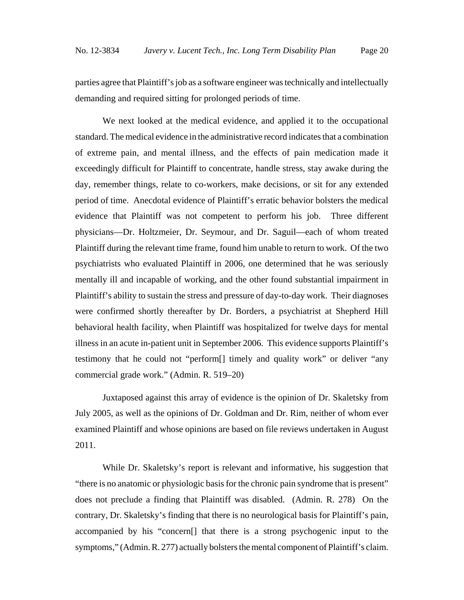parties agree that Plaintiff's job as a software engineer was technically and intellectually demanding and required sitting for prolonged periods of time.

We next looked at the medical evidence, and applied it to the occupational standard. The medical evidence in the administrative record indicates that a combination of extreme pain, and mental illness, and the effects of pain medication made it exceedingly difficult for Plaintiff to concentrate, handle stress, stay awake during the day, remember things, relate to co-workers, make decisions, or sit for any extended period of time. Anecdotal evidence of Plaintiff's erratic behavior bolsters the medical evidence that Plaintiff was not competent to perform his job. Three different physicians––Dr. Holtzmeier, Dr. Seymour, and Dr. Saguil––each of whom treated Plaintiff during the relevant time frame, found him unable to return to work. Of the two psychiatrists who evaluated Plaintiff in 2006, one determined that he was seriously mentally ill and incapable of working, and the other found substantial impairment in Plaintiff's ability to sustain the stress and pressure of day-to-day work. Their diagnoses were confirmed shortly thereafter by Dr. Borders, a psychiatrist at Shepherd Hill behavioral health facility, when Plaintiff was hospitalized for twelve days for mental illness in an acute in-patient unit in September 2006. This evidence supports Plaintiff's testimony that he could not "perform[] timely and quality work" or deliver "any commercial grade work." (Admin. R. 519–20)

Juxtaposed against this array of evidence is the opinion of Dr. Skaletsky from July 2005, as well as the opinions of Dr. Goldman and Dr. Rim, neither of whom ever examined Plaintiff and whose opinions are based on file reviews undertaken in August 2011.

While Dr. Skaletsky's report is relevant and informative, his suggestion that "there is no anatomic or physiologic basis for the chronic pain syndrome that is present" does not preclude a finding that Plaintiff was disabled. (Admin. R. 278) On the contrary, Dr. Skaletsky's finding that there is no neurological basis for Plaintiff's pain, accompanied by his "concern[] that there is a strong psychogenic input to the symptoms," (Admin. R. 277) actually bolsters the mental component of Plaintiff's claim.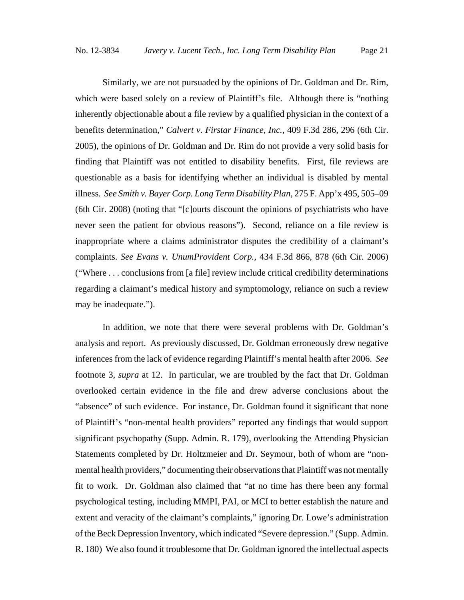Similarly, we are not pursuaded by the opinions of Dr. Goldman and Dr. Rim, which were based solely on a review of Plaintiff's file. Although there is "nothing" inherently objectionable about a file review by a qualified physician in the context of a benefits determination," *Calvert v. Firstar Finance, Inc.,* 409 F.3d 286, 296 (6th Cir. 2005), the opinions of Dr. Goldman and Dr. Rim do not provide a very solid basis for finding that Plaintiff was not entitled to disability benefits. First, file reviews are questionable as a basis for identifying whether an individual is disabled by mental illness. *See Smith v. Bayer Corp. Long Term Disability Plan*, 275 F. App'x 495, 505–09 (6th Cir. 2008) (noting that "[c]ourts discount the opinions of psychiatrists who have never seen the patient for obvious reasons"). Second, reliance on a file review is inappropriate where a claims administrator disputes the credibility of a claimant's complaints. *See Evans v. UnumProvident Corp.,* 434 F.3d 866, 878 (6th Cir. 2006) ("Where . . . conclusions from [a file] review include critical credibility determinations regarding a claimant's medical history and symptomology, reliance on such a review may be inadequate.").

In addition, we note that there were several problems with Dr. Goldman's analysis and report. As previously discussed, Dr. Goldman erroneously drew negative inferences from the lack of evidence regarding Plaintiff's mental health after 2006. *See* footnote 3, *supra* at 12. In particular, we are troubled by the fact that Dr. Goldman overlooked certain evidence in the file and drew adverse conclusions about the "absence" of such evidence. For instance, Dr. Goldman found it significant that none of Plaintiff's "non-mental health providers" reported any findings that would support significant psychopathy (Supp. Admin. R. 179), overlooking the Attending Physician Statements completed by Dr. Holtzmeier and Dr. Seymour, both of whom are "nonmental health providers," documenting their observations that Plaintiff was not mentally fit to work. Dr. Goldman also claimed that "at no time has there been any formal psychological testing, including MMPI, PAI, or MCI to better establish the nature and extent and veracity of the claimant's complaints," ignoring Dr. Lowe's administration of the Beck Depression Inventory, which indicated "Severe depression." (Supp. Admin. R. 180) We also found it troublesome that Dr. Goldman ignored the intellectual aspects